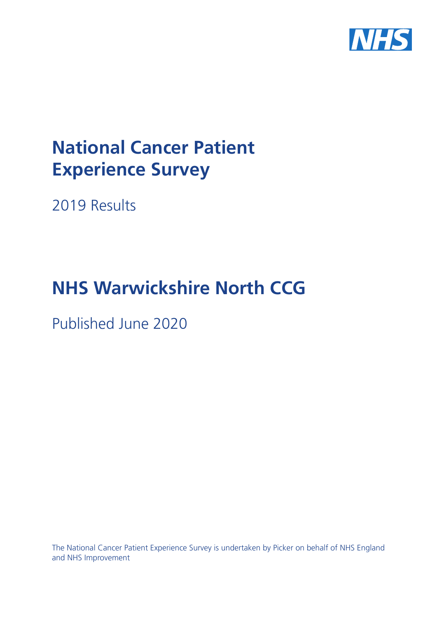

# **National Cancer Patient Experience Survey**

2019 Results

# **NHS Warwickshire North CCG**

Published June 2020

The National Cancer Patient Experience Survey is undertaken by Picker on behalf of NHS England and NHS Improvement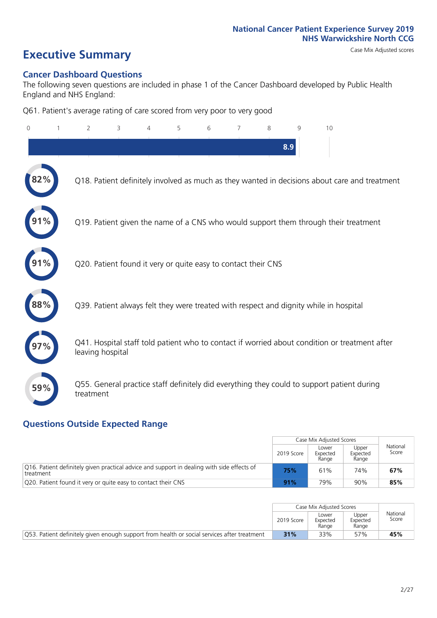# **Executive Summary** Case Mix Adjusted scores

#### **Cancer Dashboard Questions**

The following seven questions are included in phase 1 of the Cancer Dashboard developed by Public Health England and NHS England:

Q61. Patient's average rating of care scored from very poor to very good

| $\Omega$ | $\overline{2}$                                                | 3 | 4 | 5 | 6 | $\overline{7}$ | 8 | 9   | 10                                                                                            |
|----------|---------------------------------------------------------------|---|---|---|---|----------------|---|-----|-----------------------------------------------------------------------------------------------|
|          |                                                               |   |   |   |   |                |   | 8.9 |                                                                                               |
| 2%       |                                                               |   |   |   |   |                |   |     | Q18. Patient definitely involved as much as they wanted in decisions about care and treatment |
|          |                                                               |   |   |   |   |                |   |     | Q19. Patient given the name of a CNS who would support them through their treatment           |
|          | Q20. Patient found it very or quite easy to contact their CNS |   |   |   |   |                |   |     |                                                                                               |
| 88%      |                                                               |   |   |   |   |                |   |     | Q39. Patient always felt they were treated with respect and dignity while in hospital         |
|          | leaving hospital                                              |   |   |   |   |                |   |     | Q41. Hospital staff told patient who to contact if worried about condition or treatment after |
| 59%      | treatment                                                     |   |   |   |   |                |   |     | Q55. General practice staff definitely did everything they could to support patient during    |

### **Questions Outside Expected Range**

|                                                                                                         |            | Case Mix Adjusted Scores   |                            |                   |
|---------------------------------------------------------------------------------------------------------|------------|----------------------------|----------------------------|-------------------|
|                                                                                                         | 2019 Score | Lower<br>Expected<br>Range | Upper<br>Expected<br>Range | National<br>Score |
| O16. Patient definitely given practical advice and support in dealing with side effects of<br>treatment | 75%        | 61%                        | 74%                        | 67%               |
| Q20. Patient found it very or quite easy to contact their CNS                                           | 91%        | 79%                        | 90%                        | 85%               |

|                                                                                             |            | Case Mix Adjusted Scores   |                            |                   |
|---------------------------------------------------------------------------------------------|------------|----------------------------|----------------------------|-------------------|
|                                                                                             | 2019 Score | Lower<br>Expected<br>Range | Upper<br>Expected<br>Range | National<br>Score |
| Q53. Patient definitely given enough support from health or social services after treatment | 31%        | 33%                        | 57%                        | 45%               |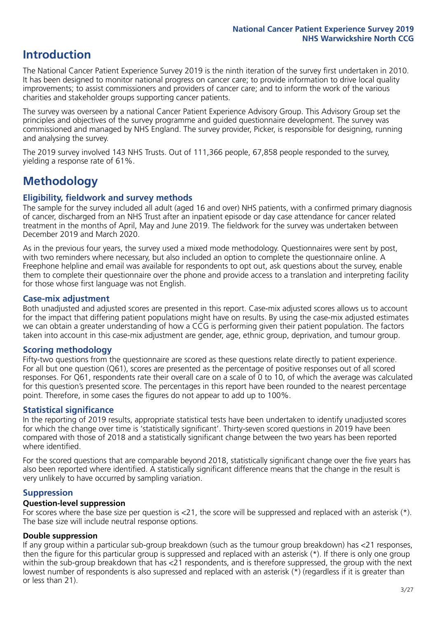## **Introduction**

The National Cancer Patient Experience Survey 2019 is the ninth iteration of the survey first undertaken in 2010. It has been designed to monitor national progress on cancer care; to provide information to drive local quality improvements; to assist commissioners and providers of cancer care; and to inform the work of the various charities and stakeholder groups supporting cancer patients.

The survey was overseen by a national Cancer Patient Experience Advisory Group. This Advisory Group set the principles and objectives of the survey programme and guided questionnaire development. The survey was commissioned and managed by NHS England. The survey provider, Picker, is responsible for designing, running and analysing the survey.

The 2019 survey involved 143 NHS Trusts. Out of 111,366 people, 67,858 people responded to the survey, yielding a response rate of 61%.

# **Methodology**

#### **Eligibility, fieldwork and survey methods**

The sample for the survey included all adult (aged 16 and over) NHS patients, with a confirmed primary diagnosis of cancer, discharged from an NHS Trust after an inpatient episode or day case attendance for cancer related treatment in the months of April, May and June 2019. The fieldwork for the survey was undertaken between December 2019 and March 2020.

As in the previous four years, the survey used a mixed mode methodology. Questionnaires were sent by post, with two reminders where necessary, but also included an option to complete the questionnaire online. A Freephone helpline and email was available for respondents to opt out, ask questions about the survey, enable them to complete their questionnaire over the phone and provide access to a translation and interpreting facility for those whose first language was not English.

#### **Case-mix adjustment**

Both unadjusted and adjusted scores are presented in this report. Case-mix adjusted scores allows us to account for the impact that differing patient populations might have on results. By using the case-mix adjusted estimates we can obtain a greater understanding of how a CCG is performing given their patient population. The factors taken into account in this case-mix adjustment are gender, age, ethnic group, deprivation, and tumour group.

#### **Scoring methodology**

Fifty-two questions from the questionnaire are scored as these questions relate directly to patient experience. For all but one question (Q61), scores are presented as the percentage of positive responses out of all scored responses. For Q61, respondents rate their overall care on a scale of 0 to 10, of which the average was calculated for this question's presented score. The percentages in this report have been rounded to the nearest percentage point. Therefore, in some cases the figures do not appear to add up to 100%.

#### **Statistical significance**

In the reporting of 2019 results, appropriate statistical tests have been undertaken to identify unadjusted scores for which the change over time is 'statistically significant'. Thirty-seven scored questions in 2019 have been compared with those of 2018 and a statistically significant change between the two years has been reported where identified.

For the scored questions that are comparable beyond 2018, statistically significant change over the five years has also been reported where identified. A statistically significant difference means that the change in the result is very unlikely to have occurred by sampling variation.

#### **Suppression**

#### **Question-level suppression**

For scores where the base size per question is  $<$ 21, the score will be suppressed and replaced with an asterisk (\*). The base size will include neutral response options.

#### **Double suppression**

If any group within a particular sub-group breakdown (such as the tumour group breakdown) has <21 responses, then the figure for this particular group is suppressed and replaced with an asterisk (\*). If there is only one group within the sub-group breakdown that has <21 respondents, and is therefore suppressed, the group with the next lowest number of respondents is also supressed and replaced with an asterisk (\*) (regardless if it is greater than or less than 21).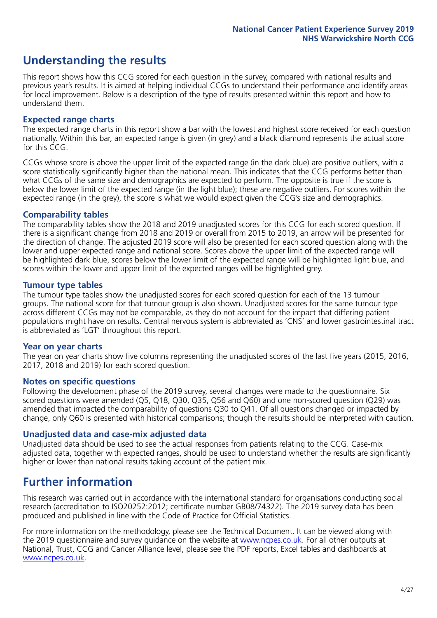# **Understanding the results**

This report shows how this CCG scored for each question in the survey, compared with national results and previous year's results. It is aimed at helping individual CCGs to understand their performance and identify areas for local improvement. Below is a description of the type of results presented within this report and how to understand them.

#### **Expected range charts**

The expected range charts in this report show a bar with the lowest and highest score received for each question nationally. Within this bar, an expected range is given (in grey) and a black diamond represents the actual score for this CCG.

CCGs whose score is above the upper limit of the expected range (in the dark blue) are positive outliers, with a score statistically significantly higher than the national mean. This indicates that the CCG performs better than what CCGs of the same size and demographics are expected to perform. The opposite is true if the score is below the lower limit of the expected range (in the light blue); these are negative outliers. For scores within the expected range (in the grey), the score is what we would expect given the CCG's size and demographics.

#### **Comparability tables**

The comparability tables show the 2018 and 2019 unadjusted scores for this CCG for each scored question. If there is a significant change from 2018 and 2019 or overall from 2015 to 2019, an arrow will be presented for the direction of change. The adjusted 2019 score will also be presented for each scored question along with the lower and upper expected range and national score. Scores above the upper limit of the expected range will be highlighted dark blue, scores below the lower limit of the expected range will be highlighted light blue, and scores within the lower and upper limit of the expected ranges will be highlighted grey.

#### **Tumour type tables**

The tumour type tables show the unadjusted scores for each scored question for each of the 13 tumour groups. The national score for that tumour group is also shown. Unadjusted scores for the same tumour type across different CCGs may not be comparable, as they do not account for the impact that differing patient populations might have on results. Central nervous system is abbreviated as 'CNS' and lower gastrointestinal tract is abbreviated as 'LGT' throughout this report.

#### **Year on year charts**

The year on year charts show five columns representing the unadjusted scores of the last five years (2015, 2016, 2017, 2018 and 2019) for each scored question.

#### **Notes on specific questions**

Following the development phase of the 2019 survey, several changes were made to the questionnaire. Six scored questions were amended (Q5, Q18, Q30, Q35, Q56 and Q60) and one non-scored question (Q29) was amended that impacted the comparability of questions Q30 to Q41. Of all questions changed or impacted by change, only Q60 is presented with historical comparisons; though the results should be interpreted with caution.

#### **Unadjusted data and case-mix adjusted data**

Unadjusted data should be used to see the actual responses from patients relating to the CCG. Case-mix adjusted data, together with expected ranges, should be used to understand whether the results are significantly higher or lower than national results taking account of the patient mix.

### **Further information**

This research was carried out in accordance with the international standard for organisations conducting social research (accreditation to ISO20252:2012; certificate number GB08/74322). The 2019 survey data has been produced and published in line with the Code of Practice for Official Statistics.

For more information on the methodology, please see the Technical Document. It can be viewed along with the 2019 questionnaire and survey quidance on the website at [www.ncpes.co.uk](https://www.ncpes.co.uk/supporting-documents). For all other outputs at National, Trust, CCG and Cancer Alliance level, please see the PDF reports, Excel tables and dashboards at [www.ncpes.co.uk.](https://www.ncpes.co.uk/current-results)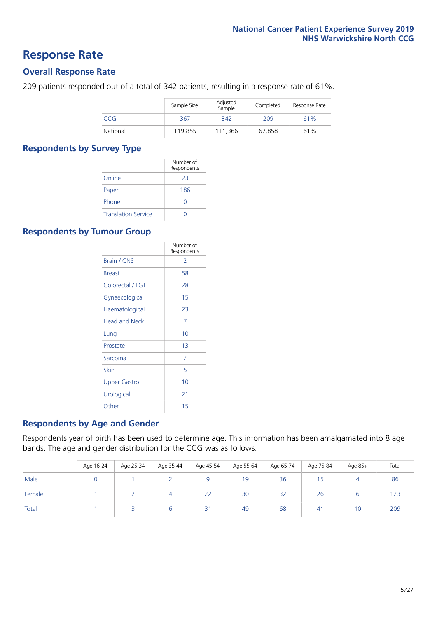### **Response Rate**

#### **Overall Response Rate**

209 patients responded out of a total of 342 patients, resulting in a response rate of 61%.

|          | Sample Size | Adjusted<br>Sample | Completed | Response Rate |
|----------|-------------|--------------------|-----------|---------------|
| CCG      | 367         | 342                | 209       | 61%           |
| National | 119,855     | 111,366            | 67,858    | 61%           |

#### **Respondents by Survey Type**

|                            | Number of<br>Respondents |
|----------------------------|--------------------------|
| Online                     | 23                       |
| Paper                      | 186                      |
| Phone                      | $\left( \right)$         |
| <b>Translation Service</b> |                          |

#### **Respondents by Tumour Group**

|                      | Number of<br>Respondents |
|----------------------|--------------------------|
| <b>Brain / CNS</b>   | $\mathcal{P}$            |
| <b>Breast</b>        | 58                       |
| Colorectal / LGT     | 28                       |
| Gynaecological       | 15                       |
| Haematological       | 23                       |
| <b>Head and Neck</b> | 7                        |
| Lung                 | 10                       |
| Prostate             | 13                       |
| Sarcoma              | $\overline{2}$           |
| Skin                 | 5                        |
| <b>Upper Gastro</b>  | 10                       |
| Urological           | 21                       |
| Other                | 15                       |

#### **Respondents by Age and Gender**

Respondents year of birth has been used to determine age. This information has been amalgamated into 8 age bands. The age and gender distribution for the CCG was as follows:

|        | Age 16-24 | Age 25-34 | Age 35-44 | Age 45-54       | Age 55-64 | Age 65-74 | Age 75-84 | Age 85+ | Total |
|--------|-----------|-----------|-----------|-----------------|-----------|-----------|-----------|---------|-------|
| Male   |           |           |           |                 | 19        | 36        |           |         | 86    |
| Female |           |           |           | 22              | 30        | 32        | 26        |         | 123   |
| Total  |           |           | b         | $\overline{2}1$ | 49        | 68        | 41        | 10      | 209   |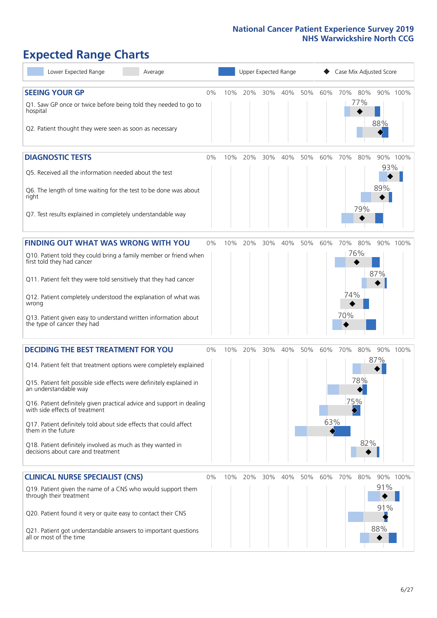# **Expected Range Charts**

| Lower Expected Range<br>Average                                                                         |       |     |         |     | Upper Expected Range |     |     | Case Mix Adjusted Score |               |            |          |
|---------------------------------------------------------------------------------------------------------|-------|-----|---------|-----|----------------------|-----|-----|-------------------------|---------------|------------|----------|
| <b>SEEING YOUR GP</b>                                                                                   | 0%    | 10% | 20%     |     | 30% 40%              | 50% | 60% | 70% 80%                 |               |            | 90% 100% |
| Q1. Saw GP once or twice before being told they needed to go to<br>hospital                             |       |     |         |     |                      |     |     |                         | 77%           | 88%        |          |
| Q2. Patient thought they were seen as soon as necessary                                                 |       |     |         |     |                      |     |     |                         |               |            |          |
| <b>DIAGNOSTIC TESTS</b>                                                                                 | 0%    | 10% | 20%     | 30% | 40%                  | 50% | 60% | 70%                     | 80%           | 93%        | 90% 100% |
| Q5. Received all the information needed about the test                                                  |       |     |         |     |                      |     |     |                         |               |            |          |
| Q6. The length of time waiting for the test to be done was about<br>right                               |       |     |         |     |                      |     |     |                         | 79%           | 89%        |          |
| Q7. Test results explained in completely understandable way                                             |       |     |         |     |                      |     |     |                         |               |            |          |
| <b>FINDING OUT WHAT WAS WRONG WITH YOU</b>                                                              | $0\%$ | 10% | 20%     | 30% | 40%                  | 50% | 60% | 70%                     | 80%           |            | 90% 100% |
| Q10. Patient told they could bring a family member or friend when<br>first told they had cancer         |       |     |         |     |                      |     |     |                         | 76%           |            |          |
| Q11. Patient felt they were told sensitively that they had cancer                                       |       |     |         |     |                      |     |     |                         |               | 87%        |          |
| Q12. Patient completely understood the explanation of what was<br>wrong                                 |       |     |         |     |                      |     |     | 74%                     |               |            |          |
| Q13. Patient given easy to understand written information about<br>the type of cancer they had          |       |     |         |     |                      |     |     | 70%                     |               |            |          |
| <b>DECIDING THE BEST TREATMENT FOR YOU</b>                                                              | 0%    | 10% | 20%     | 30% | 40%                  | 50% | 60% | 70%                     | 80%           |            | 90% 100% |
| Q14. Patient felt that treatment options were completely explained                                      |       |     |         |     |                      |     |     |                         |               | 87%        |          |
| Q15. Patient felt possible side effects were definitely explained in<br>an understandable way           |       |     |         |     |                      |     |     |                         | 78%           |            |          |
| Q16. Patient definitely given practical advice and support in dealing<br>with side effects of treatment |       |     |         |     |                      |     |     | 75%                     | $\rightarrow$ |            |          |
| Q17. Patient definitely told about side effects that could affect<br>them in the future                 |       |     |         |     |                      |     | 63% |                         |               |            |          |
| Q18. Patient definitely involved as much as they wanted in<br>decisions about care and treatment        |       |     |         |     |                      |     |     |                         | 82%           |            |          |
| <b>CLINICAL NURSE SPECIALIST (CNS)</b>                                                                  | 0%    |     | 10% 20% | 30% | 40%                  | 50% | 60% | 70%                     | 80%           |            | 90% 100% |
| Q19. Patient given the name of a CNS who would support them<br>through their treatment                  |       |     |         |     |                      |     |     |                         |               | 91%<br>91% |          |
| Q20. Patient found it very or quite easy to contact their CNS                                           |       |     |         |     |                      |     |     |                         |               |            |          |
| Q21. Patient got understandable answers to important questions<br>all or most of the time               |       |     |         |     |                      |     |     |                         |               | 88%        |          |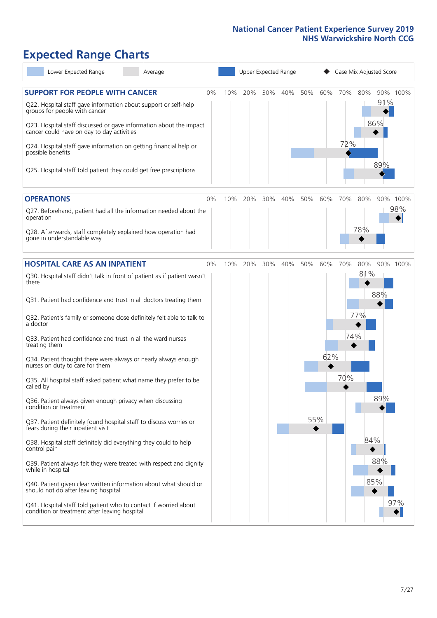# **Expected Range Charts**

| Lower Expected Range<br>Average                                                                                                                                                                                                                                                                                                                                                                                                                                                                                                                                                                                                                                                                                                                                                                                                                                                                                                                                                                                                                                                                                                                                                   |    |     |     |     | Upper Expected Range |     |                   |                   |                          | Case Mix Adjusted Score  |                 |
|-----------------------------------------------------------------------------------------------------------------------------------------------------------------------------------------------------------------------------------------------------------------------------------------------------------------------------------------------------------------------------------------------------------------------------------------------------------------------------------------------------------------------------------------------------------------------------------------------------------------------------------------------------------------------------------------------------------------------------------------------------------------------------------------------------------------------------------------------------------------------------------------------------------------------------------------------------------------------------------------------------------------------------------------------------------------------------------------------------------------------------------------------------------------------------------|----|-----|-----|-----|----------------------|-----|-------------------|-------------------|--------------------------|--------------------------|-----------------|
| <b>SUPPORT FOR PEOPLE WITH CANCER</b><br>Q22. Hospital staff gave information about support or self-help<br>groups for people with cancer<br>Q23. Hospital staff discussed or gave information about the impact<br>cancer could have on day to day activities<br>Q24. Hospital staff gave information on getting financial help or<br>possible benefits<br>Q25. Hospital staff told patient they could get free prescriptions                                                                                                                                                                                                                                                                                                                                                                                                                                                                                                                                                                                                                                                                                                                                                     | 0% | 10% | 20% | 30% | 40%                  | 50% | 60%               | 70%<br>72%        | 80%                      | 91%<br>86%<br>89%        | 90% 100%        |
| <b>OPERATIONS</b><br>Q27. Beforehand, patient had all the information needed about the<br>operation<br>Q28. Afterwards, staff completely explained how operation had<br>gone in understandable way                                                                                                                                                                                                                                                                                                                                                                                                                                                                                                                                                                                                                                                                                                                                                                                                                                                                                                                                                                                | 0% | 10% | 20% | 30% | 40%                  | 50% | 60%               | 70%               | 80%<br>78%               |                          | 90% 100%<br>98% |
| <b>HOSPITAL CARE AS AN INPATIENT</b><br>Q30. Hospital staff didn't talk in front of patient as if patient wasn't<br>there<br>Q31. Patient had confidence and trust in all doctors treating them<br>Q32. Patient's family or someone close definitely felt able to talk to<br>a doctor<br>Q33. Patient had confidence and trust in all the ward nurses<br>treating them<br>Q34. Patient thought there were always or nearly always enough<br>nurses on duty to care for them<br>Q35. All hospital staff asked patient what name they prefer to be<br>called by<br>Q36. Patient always given enough privacy when discussing<br>condition or treatment<br>Q37. Patient definitely found hospital staff to discuss worries or<br>fears during their inpatient visit<br>Q38. Hospital staff definitely did everything they could to help<br>control pain<br>Q39. Patient always felt they were treated with respect and dignity<br>while in hospital<br>Q40. Patient given clear written information about what should or<br>should not do after leaving hospital<br>Q41. Hospital staff told patient who to contact if worried about<br>condition or treatment after leaving hospital | 0% | 10% | 20% | 30% | 40%                  | 50% | 60%<br>62%<br>55% | 70%<br>74%<br>70% | 80%<br>81%<br>77%<br>84% | 88%<br>89%<br>88%<br>85% | 90% 100%<br>97% |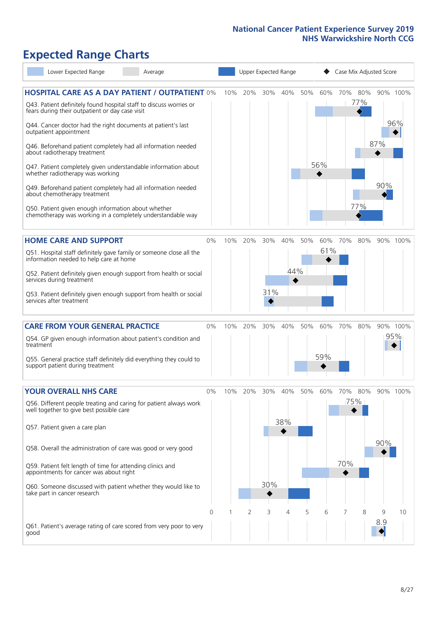# **Expected Range Charts**

| Lower Expected Range                                                                                                                                                                    | Average |          | Upper Expected Range |         |     |         |     |     | Case Mix Adjusted Score |            |     |                 |  |  |
|-----------------------------------------------------------------------------------------------------------------------------------------------------------------------------------------|---------|----------|----------------------|---------|-----|---------|-----|-----|-------------------------|------------|-----|-----------------|--|--|
| <b>HOSPITAL CARE AS A DAY PATIENT / OUTPATIENT 0%</b><br>Q43. Patient definitely found hospital staff to discuss worries or<br>fears during their outpatient or day case visit          |         |          | 10%                  | 20%     | 30% | 40%     | 50% | 60% | 70%                     | 80%<br>77% |     | 90% 100%<br>96% |  |  |
| Q44. Cancer doctor had the right documents at patient's last<br>outpatient appointment<br>Q46. Beforehand patient completely had all information needed<br>about radiotherapy treatment |         |          |                      |         |     |         |     |     |                         |            | 87% |                 |  |  |
| Q47. Patient completely given understandable information about<br>whether radiotherapy was working                                                                                      |         |          |                      |         |     |         |     | 56% |                         |            |     |                 |  |  |
| Q49. Beforehand patient completely had all information needed<br>about chemotherapy treatment                                                                                           |         |          |                      |         |     |         |     |     |                         |            | 90% |                 |  |  |
| Q50. Patient given enough information about whether<br>chemotherapy was working in a completely understandable way                                                                      |         |          |                      |         |     |         |     |     |                         | 77%        |     |                 |  |  |
| <b>HOME CARE AND SUPPORT</b>                                                                                                                                                            |         | 0%       | 10%                  | 20%     | 30% | 40%     | 50% | 60% | 70%                     | 80%        |     | 90% 100%        |  |  |
| Q51. Hospital staff definitely gave family or someone close all the<br>information needed to help care at home                                                                          |         |          |                      |         |     |         |     | 61% |                         |            |     |                 |  |  |
| Q52. Patient definitely given enough support from health or social<br>services during treatment                                                                                         |         |          |                      |         |     | 44%     |     |     |                         |            |     |                 |  |  |
| Q53. Patient definitely given enough support from health or social<br>services after treatment                                                                                          |         |          |                      |         | 31% |         |     |     |                         |            |     |                 |  |  |
| <b>CARE FROM YOUR GENERAL PRACTICE</b>                                                                                                                                                  |         | $0\%$    |                      | 10% 20% |     | 30% 40% | 50% | 60% | 70%                     | 80%        |     | 90% 100%        |  |  |
| Q54. GP given enough information about patient's condition and<br>treatment                                                                                                             |         |          |                      |         |     |         |     |     |                         |            |     | 95%             |  |  |
| Q55. General practice staff definitely did everything they could to<br>support patient during treatment                                                                                 |         |          |                      |         |     |         |     | 59% |                         |            |     |                 |  |  |
| <b>YOUR OVERALL NHS CARE</b>                                                                                                                                                            |         | $0\%$    | 10%                  | 20%     | 30% | 40%     | 50% | 60% | 70%                     | 80%        |     | 90% 100%        |  |  |
| Q56. Different people treating and caring for patient always work<br>well together to give best possible care                                                                           |         |          |                      |         |     |         |     |     |                         | 75%        |     |                 |  |  |
| Q57. Patient given a care plan                                                                                                                                                          |         |          |                      |         |     | 38%     |     |     |                         |            |     |                 |  |  |
| Q58. Overall the administration of care was good or very good                                                                                                                           |         |          |                      |         |     |         |     |     | 70%                     |            | 90% |                 |  |  |
| Q59. Patient felt length of time for attending clinics and<br>appointments for cancer was about right                                                                                   |         |          |                      |         |     |         |     |     |                         |            |     |                 |  |  |
| Q60. Someone discussed with patient whether they would like to<br>take part in cancer research                                                                                          |         |          |                      |         | 30% |         |     |     |                         |            |     |                 |  |  |
|                                                                                                                                                                                         |         | $\Omega$ |                      | 2       | 3   | 4       | 5   | 6   | 7                       | 8          | 9   | 10              |  |  |
| Q61. Patient's average rating of care scored from very poor to very<br>good                                                                                                             |         |          |                      |         |     |         |     |     |                         |            | 8.9 |                 |  |  |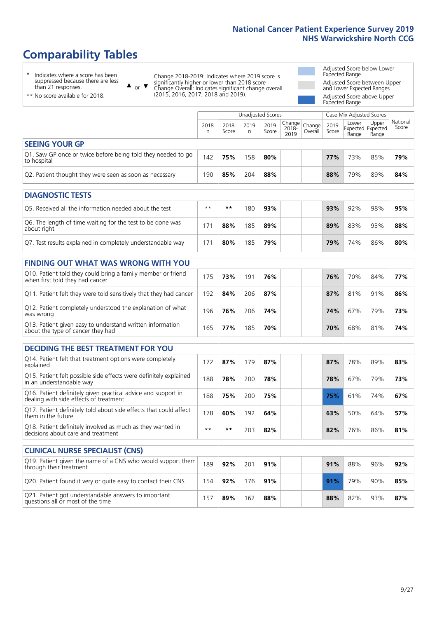# **Comparability Tables**

\* Indicates where a score has been suppressed because there are less than 21 responses.

\*\* No score available for 2018.

 $\triangle$  or  $\nabla$ 

Change 2018-2019: Indicates where 2019 score is significantly higher or lower than 2018 score Change Overall: Indicates significant change overall (2015, 2016, 2017, 2018 and 2019).

Adjusted Score below Lower Expected Range Adjusted Score between Upper and Lower Expected Ranges Adjusted Score above Upper Expected Range

|                                                                             |           |               | Unadjusted Scores |               |                                             |         |               | Case Mix Adjusted Scores            |                |                   |
|-----------------------------------------------------------------------------|-----------|---------------|-------------------|---------------|---------------------------------------------|---------|---------------|-------------------------------------|----------------|-------------------|
|                                                                             | 2018<br>n | 2018<br>Score | 2019<br>n         | 2019<br>Score | $\sim$   Change   Change  <br>2018-<br>2019 | Overall | 2019<br>Score | Lower<br>Expected Expected<br>Range | Upper<br>Range | National<br>Score |
| <b>SEEING YOUR GP</b>                                                       |           |               |                   |               |                                             |         |               |                                     |                |                   |
| Q1. Saw GP once or twice before being told they needed to go<br>to hospital | 142       | 75%           | 158               | 80%           |                                             |         | 77%           | 73%                                 | 85%            | 79%               |
| Q2. Patient thought they were seen as soon as necessary                     | 190       | 85%           | 204               | 88%           |                                             |         | 88%           | 79%                                 | 89%            | 84%               |
| <b>DIAGNOSTIC TESTS</b>                                                     |           |               |                   |               |                                             |         |               |                                     |                |                   |

| O5. Received all the information needed about the test                    | $**$ | **  | 80  | 93% |  | 93% | 92% | 98% | 95% |
|---------------------------------------------------------------------------|------|-----|-----|-----|--|-----|-----|-----|-----|
| Q6. The length of time waiting for the test to be done was<br>about right |      | 88% | 85  | 89% |  | 89% | 83% | 93% | 88% |
| Q7. Test results explained in completely understandable way               | 71 ' | 80% | 185 | 79% |  | 79% | 74% | 86% | 80% |

| <b>FINDING OUT WHAT WAS WRONG WITH YOU</b>                                                      |     |     |     |     |     |     |     |     |
|-------------------------------------------------------------------------------------------------|-----|-----|-----|-----|-----|-----|-----|-----|
| Q10. Patient told they could bring a family member or friend<br>when first told they had cancer | 175 | 73% | 191 | 76% | 76% | 70% | 84% | 77% |
| Q11. Patient felt they were told sensitively that they had cancer                               | 192 | 84% | 206 | 87% | 87% | 81% | 91% | 86% |
| Q12. Patient completely understood the explanation of what<br>was wrong                         | 196 | 76% | 206 | 74% | 74% | 67% | 79% | 73% |
| Q13. Patient given easy to understand written information<br>about the type of cancer they had  | 165 | 77% | 185 | 70% | 70% | 68% | 81% | 74% |

| <b>DECIDING THE BEST TREATMENT FOR YOU</b>                                                              |      |     |     |     |  |     |     |     |     |
|---------------------------------------------------------------------------------------------------------|------|-----|-----|-----|--|-----|-----|-----|-----|
| Q14. Patient felt that treatment options were completely<br>explained                                   | 172  | 87% | 79  | 87% |  | 87% | 78% | 89% | 83% |
| Q15. Patient felt possible side effects were definitely explained<br>in an understandable way           | 188  | 78% | 200 | 78% |  | 78% | 67% | 79% | 73% |
| Q16. Patient definitely given practical advice and support in<br>dealing with side effects of treatment | 188  | 75% | 200 | 75% |  | 75% | 61% | 74% | 67% |
| Q17. Patient definitely told about side effects that could affect<br>them in the future                 | 178  | 60% | 192 | 64% |  | 63% | 50% | 64% | 57% |
| Q18. Patient definitely involved as much as they wanted in<br>decisions about care and treatment        | $**$ | **  | 203 | 82% |  | 82% | 76% | 86% | 81% |

| <b>CLINICAL NURSE SPECIALIST (CNS)</b>                                                    |       |     |     |     |     |     |     |     |
|-------------------------------------------------------------------------------------------|-------|-----|-----|-----|-----|-----|-----|-----|
| Q19. Patient given the name of a CNS who would support them<br>through their treatment    | 189   | 92% | 201 | 91% | 91% | 88% | 96% | 92% |
| Q20. Patient found it very or quite easy to contact their CNS                             | 154   | 92% | 176 | 91% | 91% | 79% | 90% | 85% |
| Q21. Patient got understandable answers to important<br>questions all or most of the time | $15-$ | 89% | 162 | 88% | 88% | 82% | 93% | 87% |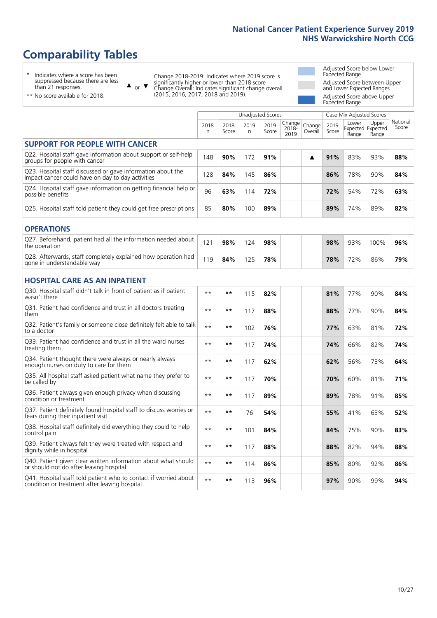# **Comparability Tables**

\* Indicates where a score has been suppressed because there are less than 21 responses.

\*\* No score available for 2018.

 $\triangle$  or  $\nabla$ 

Change 2018-2019: Indicates where 2019 score is significantly higher or lower than 2018 score Change Overall: Indicates significant change overall (2015, 2016, 2017, 2018 and 2019).

Adjusted Score below Lower Expected Range Adjusted Score between Upper and Lower Expected Ranges Adjusted Score above Upper Expected Range

|                                                                                                                   |              |               |           | Unadjusted Scores |                         |                   |               | Case Mix Adjusted Scores |                                     |                   |
|-------------------------------------------------------------------------------------------------------------------|--------------|---------------|-----------|-------------------|-------------------------|-------------------|---------------|--------------------------|-------------------------------------|-------------------|
|                                                                                                                   | 2018<br>n    | 2018<br>Score | 2019<br>n | 2019<br>Score     | Change<br>2018-<br>2019 | Change<br>Overall | 2019<br>Score | Lower<br>Range           | Upper<br>Expected Expected<br>Range | National<br>Score |
| <b>SUPPORT FOR PEOPLE WITH CANCER</b>                                                                             |              |               |           |                   |                         |                   |               |                          |                                     |                   |
| Q22. Hospital staff gave information about support or self-help<br>groups for people with cancer                  | 148          | 90%           | 172       | 91%               |                         | ▲                 | 91%           | 83%                      | 93%                                 | 88%               |
| Q23. Hospital staff discussed or gave information about the<br>impact cancer could have on day to day activities  | 128          | 84%           | 145       | 86%               |                         |                   | 86%           | 78%                      | 90%                                 | 84%               |
| Q24. Hospital staff gave information on getting financial help or<br>possible benefits                            | 96           | 63%           | 114       | 72%               |                         |                   | 72%           | 54%                      | 72%                                 | 63%               |
| Q25. Hospital staff told patient they could get free prescriptions                                                | 85           | 80%           | 100       | 89%               |                         |                   | 89%           | 74%                      | 89%                                 | 82%               |
| <b>OPERATIONS</b>                                                                                                 |              |               |           |                   |                         |                   |               |                          |                                     |                   |
| Q27. Beforehand, patient had all the information needed about<br>the operation                                    | 121          | 98%           | 124       | 98%               |                         |                   | 98%           | 93%                      | 100%                                | 96%               |
| Q28. Afterwards, staff completely explained how operation had<br>gone in understandable way                       | 119          | 84%           | 125       | 78%               |                         |                   | 78%           | 72%                      | 86%                                 | 79%               |
| <b>HOSPITAL CARE AS AN INPATIENT</b>                                                                              |              |               |           |                   |                         |                   |               |                          |                                     |                   |
| Q30. Hospital staff didn't talk in front of patient as if patient<br>wasn't there                                 | $**$         | $***$         | 115       | 82%               |                         |                   | 81%           | 77%                      | 90%                                 | 84%               |
| Q31. Patient had confidence and trust in all doctors treating<br>them                                             | $\star\star$ | $***$         | 117       | 88%               |                         |                   | 88%           | 77%                      | 90%                                 | 84%               |
| Q32. Patient's family or someone close definitely felt able to talk<br>to a doctor                                | $* *$        | $***$         | 102       | 76%               |                         |                   | 77%           | 63%                      | 81%                                 | 72%               |
| Q33. Patient had confidence and trust in all the ward nurses<br>treating them                                     | $* *$        | **            | 117       | 74%               |                         |                   | 74%           | 66%                      | 82%                                 | 74%               |
| Q34. Patient thought there were always or nearly always<br>enough nurses on duty to care for them                 | $**$         | $***$         | 117       | 62%               |                         |                   | 62%           | 56%                      | 73%                                 | 64%               |
| Q35. All hospital staff asked patient what name they prefer to<br>be called by                                    | $**$         | $***$         | 117       | 70%               |                         |                   | 70%           | 60%                      | 81%                                 | 71%               |
| Q36. Patient always given enough privacy when discussing<br>condition or treatment                                | $* *$        | $***$         | 117       | 89%               |                         |                   | 89%           | 78%                      | 91%                                 | 85%               |
| Q37. Patient definitely found hospital staff to discuss worries or<br>fears during their inpatient visit          | $* *$        | **            | 76        | 54%               |                         |                   | 55%           | 41%                      | 63%                                 | 52%               |
| Q38. Hospital staff definitely did everything they could to help<br>control pain                                  | $* *$        | $***$         | 101       | 84%               |                         |                   | 84%           | 75%                      | 90%                                 | 83%               |
| Q39. Patient always felt they were treated with respect and<br>dignity while in hospital                          | $\star\star$ | $***$         | 117       | 88%               |                         |                   | 88%           | 82%                      | 94%                                 | 88%               |
| Q40. Patient given clear written information about what should<br>or should not do after leaving hospital         | $**$         | $***$         | 114       | 86%               |                         |                   | 85%           | 80%                      | 92%                                 | 86%               |
| Q41. Hospital staff told patient who to contact if worried about<br>condition or treatment after leaving hospital | $\star\star$ | $***$         | 113       | 96%               |                         |                   | 97%           | 90%                      | 99%                                 | 94%               |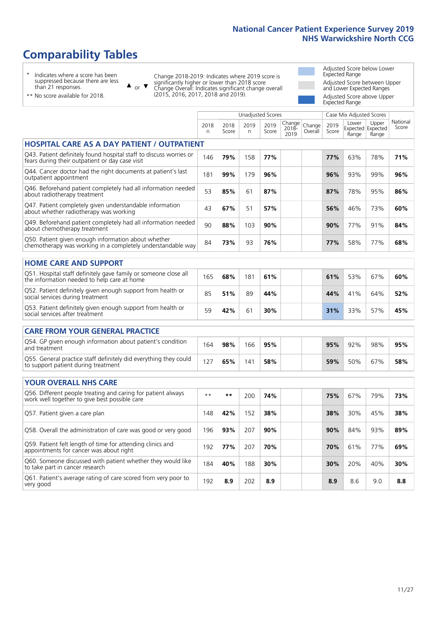# **Comparability Tables**

\* Indicates where a score has been suppressed because there are less than 21 responses.

\*\* No score available for 2018.

 $\triangle$  or  $\nabla$ 

Change 2018-2019: Indicates where 2019 score is significantly higher or lower than 2018 score Change Overall: Indicates significant change overall (2015, 2016, 2017, 2018 and 2019).

Adjusted Score below Lower Expected Range Adjusted Score between Upper and Lower Expected Ranges Adjusted Score above Upper Expected Range

|                                                                                                                       |              |               |                      | <b>Unadjusted Scores</b> |                         |                   |               | Case Mix Adjusted Scores |                                     |                   |
|-----------------------------------------------------------------------------------------------------------------------|--------------|---------------|----------------------|--------------------------|-------------------------|-------------------|---------------|--------------------------|-------------------------------------|-------------------|
|                                                                                                                       | 2018<br>n.   | 2018<br>Score | 2019<br>$\mathsf{n}$ | 2019<br>Score            | Change<br>2018-<br>2019 | Change<br>Overall | 2019<br>Score | Lower<br>Range           | Upper<br>Expected Expected<br>Range | National<br>Score |
| <b>HOSPITAL CARE AS A DAY PATIENT / OUTPATIENT</b>                                                                    |              |               |                      |                          |                         |                   |               |                          |                                     |                   |
| Q43. Patient definitely found hospital staff to discuss worries or<br>fears during their outpatient or day case visit | 146          | 79%           | 158                  | 77%                      |                         |                   | 77%           | 63%                      | 78%                                 | 71%               |
| Q44. Cancer doctor had the right documents at patient's last<br>outpatient appointment                                | 181          | 99%           | 179                  | 96%                      |                         |                   | 96%           | 93%                      | 99%                                 | 96%               |
| Q46. Beforehand patient completely had all information needed<br>about radiotherapy treatment                         | 53           | 85%           | 61                   | 87%                      |                         |                   | 87%           | 78%                      | 95%                                 | 86%               |
| Q47. Patient completely given understandable information<br>about whether radiotherapy was working                    | 43           | 67%           | 51                   | 57%                      |                         |                   | 56%           | 46%                      | 73%                                 | 60%               |
| Q49. Beforehand patient completely had all information needed<br>about chemotherapy treatment                         | 90           | 88%           | 103                  | 90%                      |                         |                   | 90%           | 77%                      | 91%                                 | 84%               |
| Q50. Patient given enough information about whether<br>chemotherapy was working in a completely understandable way    | 84           | 73%           | 93                   | 76%                      |                         |                   | 77%           | 58%                      | 77%                                 | 68%               |
|                                                                                                                       |              |               |                      |                          |                         |                   |               |                          |                                     |                   |
| <b>HOME CARE AND SUPPORT</b>                                                                                          |              |               |                      |                          |                         |                   |               |                          |                                     |                   |
| Q51. Hospital staff definitely gave family or someone close all<br>the information needed to help care at home        | 165          | 68%           | 181                  | 61%                      |                         |                   | 61%           | 53%                      | 67%                                 | 60%               |
| Q52. Patient definitely given enough support from health or<br>social services during treatment                       | 85           | 51%           | 89                   | 44%                      |                         |                   | 44%           | 41%                      | 64%                                 | 52%               |
| Q53. Patient definitely given enough support from health or<br>social services after treatment                        | 59           | 42%           | 61                   | 30%                      |                         |                   | 31%           | 33%                      | 57%                                 | 45%               |
| <b>CARE FROM YOUR GENERAL PRACTICE</b>                                                                                |              |               |                      |                          |                         |                   |               |                          |                                     |                   |
| Q54. GP given enough information about patient's condition<br>and treatment                                           | 164          | 98%           | 166                  | 95%                      |                         |                   | 95%           | 92%                      | 98%                                 | 95%               |
| Q55. General practice staff definitely did everything they could<br>to support patient during treatment               | 127          | 65%           | 141                  | 58%                      |                         |                   | 59%           | 50%                      | 67%                                 | 58%               |
| <b>YOUR OVERALL NHS CARE</b>                                                                                          |              |               |                      |                          |                         |                   |               |                          |                                     |                   |
| Q56. Different people treating and caring for patient always<br>work well together to give best possible care         | $\star\star$ | $***$         | 200                  | 74%                      |                         |                   | 75%           | 67%                      | 79%                                 | 73%               |
| Q57. Patient given a care plan                                                                                        | 148          | 42%           | 152                  | 38%                      |                         |                   | 38%           | 30%                      | 45%                                 | 38%               |
| Q58. Overall the administration of care was good or very good                                                         | 196          | 93%           | 207                  | 90%                      |                         |                   | 90%           | 84%                      | 93%                                 | 89%               |
| Q59. Patient felt length of time for attending clinics and<br>appointments for cancer was about right                 | 192          | 77%           | 207                  | 70%                      |                         |                   | 70%           | 61%                      | 77%                                 | 69%               |
| Q60. Someone discussed with patient whether they would like<br>to take part in cancer research                        | 184          | 40%           | 188                  | 30%                      |                         |                   | 30%           | 20%                      | 40%                                 | 30%               |
| Q61. Patient's average rating of care scored from very poor to<br>very good                                           | 192          | 8.9           | 202                  | 8.9                      |                         |                   | 8.9           | 8.6                      | 9.0                                 | 8.8               |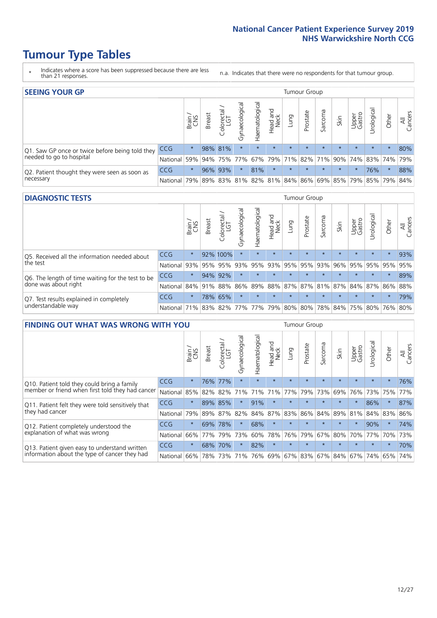- \* Indicates where a score has been suppressed because there are less than 21 responses.
- n.a. Indicates that there were no respondents for that tumour group.

| <b>SEEING YOUR GP</b>                           |            |          |               |                   |                    |                |                  |                 | Tumour Group |         |         |                 |                                                 |         |                |
|-------------------------------------------------|------------|----------|---------------|-------------------|--------------------|----------------|------------------|-----------------|--------------|---------|---------|-----------------|-------------------------------------------------|---------|----------------|
|                                                 |            | Brain    | <b>Breast</b> | Colorectal<br>LGT | ᠊ᢛ<br>Gynaecologic | Haematological | Head and<br>Neck | Lung            | Prostate     | Sarcoma | Skin    | Upper<br>Gastro | –<br>Irologica                                  | Other   | All<br>Cancers |
| Q1. Saw GP once or twice before being told they | <b>CCG</b> | $^\star$ |               | 98% 81%           | $\star$            | $\star$        | $\star$          | $\star$         | $\star$      | $\star$ | $\star$ | $\star$         | $\star$                                         | $\star$ | 80%            |
| needed to go to hospital                        | National   | 59%      |               | 94% 75%           | 77%                |                |                  | 67% 79% 71% 82% |              |         |         |                 | 71% 90% 74% 83% 74%                             |         | 79%            |
| Q2. Patient thought they were seen as soon as   | <b>CCG</b> | $\star$  |               | 96% 93%           | $\star$            | 81%            | $\star$          | $\star$         | $\star$      | $\star$ | $\star$ | $\star$         | 76%                                             | $\star$ | 88%            |
| necessary                                       | National   | 79%      |               |                   |                    |                |                  |                 |              |         |         |                 | 89% 83% 81% 82% 81% 84% 86% 69% 85% 79% 85% 79% |         | 84%            |

#### **DIAGNOSTIC TESTS** Tumour Group

|                                                   |                                          | Brain<br>CNS | <b>Breast</b> | Colorectal<br>LGT | ᠊ᢛ<br>Gynaecologic | Haematological | Head and<br>Neck | Lung        | Prostate | Sarcoma | Skin    | Upper<br>Gastro | rological                                   | Other   | All<br>Cancers |
|---------------------------------------------------|------------------------------------------|--------------|---------------|-------------------|--------------------|----------------|------------------|-------------|----------|---------|---------|-----------------|---------------------------------------------|---------|----------------|
| Q5. Received all the information needed about     | CCG                                      | $\star$      |               | 92% 100%          | $\star$            |                | $\star$          | $\star$     | $\star$  | $\star$ | $\star$ | $\star$         | $\star$                                     | $\star$ | 93%            |
| the test                                          | National                                 | 93%          |               | 95% 95%           |                    | 93% 95%        |                  | 93% 95% 95% |          | 93%     | 96%     |                 | 95% 95%                                     | 95%     | 95%            |
| Q6. The length of time waiting for the test to be | <b>CCG</b>                               | $\star$      |               | 94% 92%           | $\star$            | $\star$        | $\star$          | $\star$     | $\star$  | $\star$ | $\star$ | $\star$         | $\star$                                     | $\star$ | 89%            |
| done was about right                              | National                                 |              | 84% 91% 88%   |                   |                    |                |                  |             |          |         |         |                 | 86% 89% 88% 87% 87% 81% 87% 84% 87% 86% 88% |         |                |
| Q7. Test results explained in completely          | <b>CCG</b>                               | $\star$      |               | 78% 65%           | $\star$            | $\star$        | $\star$          | $\star$     | $\star$  | $\star$ | $\star$ | $\star$         | $\star$                                     | $\star$ | 79%            |
| understandable way                                | National 71% 83% 82% 77% 77% 79% 80% 80% |              |               |                   |                    |                |                  |             |          |         |         |                 | 78% 84% 75% 80% 76% 80%                     |         |                |

| <b>FINDING OUT WHAT WAS WRONG WITH YOU</b>        |          |         |               |                                  |                |               |                        |         | Tumour Group |         |                         |                 |            |          |                |
|---------------------------------------------------|----------|---------|---------------|----------------------------------|----------------|---------------|------------------------|---------|--------------|---------|-------------------------|-----------------|------------|----------|----------------|
|                                                   |          | Brain   | <b>Breast</b> | ╮<br>olorectal.<br>LGT<br>$\cup$ | Gynaecological | Haematologica | ad and<br>Neck<br>Head | Lung    | Prostate     | Sarcoma | Skin                    | Upper<br>Gastro | Urological | Other    | All<br>Cancers |
| Q10. Patient told they could bring a family       | CCG      | $\star$ |               | 76% 77%                          | $\star$        | $\star$       | $\star$                | $\star$ | $\star$      | $\star$ | $\star$                 | $\star$         | $\star$    | $\star$  | 76%            |
| member or friend when first told they had cancer  | National | 85%     | 82%           | 82%                              | 71%            | 71%           | 71%                    | 77%     | 79%          | 73%     | 69%                     | 76%             | 73%        | 75%      | 77%            |
| Q11. Patient felt they were told sensitively that | CCG      | $\star$ | 89%           | 85%                              | $\star$        | 91%           | $\star$                | $\star$ | $\star$      | $\star$ | $\star$                 | $\star$         | 86%        | $\star$  | 87%            |
| they had cancer                                   | National | 79%     |               | 89% 87%                          | 82%            |               | 84% 87%                | 83%     | 86%          | 84%     | 89%                     | 81%             | 84% 83%    |          | 86%            |
| Q12. Patient completely understood the            | CCG      | $\star$ | 69%           | 78%                              |                | 68%           | $\star$                | $\star$ | $\star$      | $\star$ | $\star$                 | $\star$         | 90%        | $^\star$ | 74%            |
| explanation of what was wrong                     | National | 66%     | 77%           | 79%                              | 73%            | 60%           | 78%                    | 76%     | 79%          | 67%     | 80%                     | 70%             | 77%        | 70%      | 73%            |
| Q13. Patient given easy to understand written     | CCG      | $\star$ | 68%           | 70%                              | $\star$        | 82%           | $\star$                | $\star$ | $\star$      | $\star$ | $\star$                 | $\star$         | $\star$    | $^\star$ | 70%            |
| information about the type of cancer they had     | National | 66%     | 78%           | 73%                              | 71%            |               |                        |         |              |         | 76% 69% 67% 83% 67% 84% | 67%             | 74%        | 65%      | 74%            |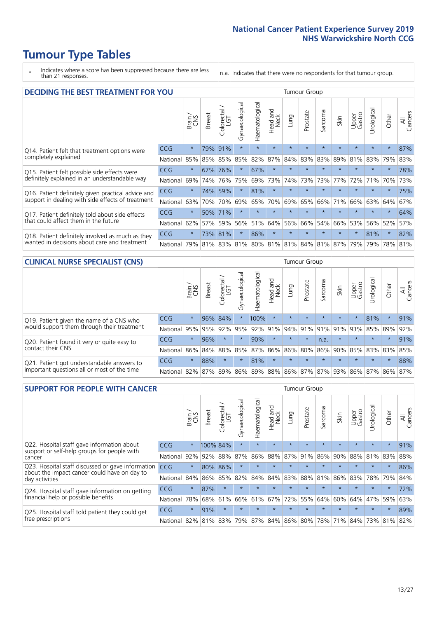\* Indicates where a score has been suppressed because there are less than 21 responses.

n.a. Indicates that there were no respondents for that tumour group.

| <b>DECIDING THE BEST TREATMENT FOR YOU</b>         |          |         |               |                             |                                     |                |                         |         | <b>Tumour Group</b> |                |         |                 |            |         |                |
|----------------------------------------------------|----------|---------|---------------|-----------------------------|-------------------------------------|----------------|-------------------------|---------|---------------------|----------------|---------|-----------------|------------|---------|----------------|
|                                                    |          | Brain   | <b>Breast</b> | olorectal.<br>LGT<br>$\cup$ | Gynaecological                      | Haematological | ead and<br>Neck<br>Head | Lung    | Prostate            | Sarcoma        | Skin    | Upper<br>Gastro | Jrological | Other   | All<br>Cancers |
| Q14. Patient felt that treatment options were      | CCG      | $\star$ | 79%           | 91%                         | $\star$                             | $\star$        | $\star$                 | $\star$ | $\star$             | $\star$        | $\star$ | $\star$         | $\star$    | $\star$ | 87%            |
| completely explained                               | National | 85%     | 85%           | 85%                         | 85%                                 | 82%            | 87%                     | 84%     | 83%                 | 83%            | 89%     | 81%             | 83%        | 79%     | 83%            |
| Q15. Patient felt possible side effects were       | CCG      | $\star$ | 67%           | 76%                         | $\star$                             | 67%            | $\star$                 | $\star$ | $\star$             | $\overline{A}$ |         | $\star$         | $\star$    | $\star$ | 78%            |
| definitely explained in an understandable way      | National | 69%     | 74%           | 76%                         | 75%                                 | 69%            | 73%                     | 74%     | 73%                 | 73%            | 77%     | 72%             | 71%        | 70%     | 73%            |
| Q16. Patient definitely given practical advice and | CCG      | $\star$ | 74%           | 59%                         | $\star$                             | 81%            | $\star$                 | $\star$ | $\star$             | $\star$        | $\star$ | $\star$         | $\star$    | $\star$ | 75%            |
| support in dealing with side effects of treatment  | National | 63%     | 70%           | 70%                         | 69%                                 | 65%            | 70%                     | 69%     | 65%                 | 66%            | 71%     | 66%             | 63%        | 64%     | 67%            |
| Q17. Patient definitely told about side effects    | CCG      | $\star$ | 50%           | 171%                        | $\star$                             | $\star$        | $\star$                 | $\star$ | $\star$             | $\star$        | $\star$ | $\star$         | $\star$    | $\star$ | 64%            |
| that could affect them in the future               | National | 62%     | 57%           | 59%                         | 56%                                 | 51%            | 64%                     | 56%     | 66%                 | 54%            | 66%     | 53%             | 56%        | 52%     | 57%            |
| Q18. Patient definitely involved as much as they   | CCG      | $\star$ |               | 73% 81%                     | $\star$                             | 86%            | $\star$                 | $\star$ | $\star$             | $\star$        | $\star$ | $\star$         | 81%        | $\star$ | 82%            |
| wanted in decisions about care and treatment       | National | 79%     |               |                             | 81% 83% 81% 80% 81% 81% 84% 81% 87% |                |                         |         |                     |                |         | 79%             | 79%        | 78% 81% |                |

#### **CLINICAL NURSE SPECIALIST (CNS)** Tumour Group

|                                             |            | Brain   | <b>Breast</b> | Colorectal<br>LGT | $\sigma$<br>Gynaecologic | aematological   | Head and<br>Neck | Lung    | Prostate | Sarcoma | Skin                        | Upper<br>Gastro | rological       | Other   | All<br>Cancers |
|---------------------------------------------|------------|---------|---------------|-------------------|--------------------------|-----------------|------------------|---------|----------|---------|-----------------------------|-----------------|-----------------|---------|----------------|
| Q19. Patient given the name of a CNS who    | <b>CCG</b> | $\star$ |               | 96% 84%           |                          | 100%            | $\star$          | $\star$ | $\star$  | $\star$ | $\star$                     |                 | 81%             | $\star$ | 91%            |
| would support them through their treatment  | National   | 95%     | 95%           | 92%               | 95%                      | 92%             | 91%              |         | 94% 91%  | 91%     | 91%                         | 93%             | 85% 89%         |         | 92%            |
| Q20. Patient found it very or quite easy to | CCG        | $\star$ | 96%           |                   | $\star$                  | 90%             | $\star$          | $\star$ | $\star$  | n.a.    | $\star$                     | $\star$         | $\star$         | $\star$ | 91%            |
| contact their CNS                           | National   | 86%     | 84%           | 88%               | 85%                      | 87% 86% 86% 80% |                  |         |          |         | 86% 90% 85%                 |                 | 83% 83% 85%     |         |                |
| Q21. Patient got understandable answers to  | CCG        | $\star$ | 88%           | $\star$           | $\star$                  | 81%             | $\star$          | $\star$ | $\star$  | $\star$ | $\star$                     | $\star$         | $\star$         | $\star$ | 88%            |
| important questions all or most of the time | National   | 82%     | 87%           | 89%               |                          |                 |                  |         |          |         | 86% 89% 88% 86% 87% 87% 93% |                 | 86% 87% 86% 87% |         |                |

| <b>SUPPORT FOR PEOPLE WITH CANCER</b>                                                             |            |         |               |                        |                |                |                        |         | <b>Tumour Group</b> |         |         |                 |           |         |                |
|---------------------------------------------------------------------------------------------------|------------|---------|---------------|------------------------|----------------|----------------|------------------------|---------|---------------------|---------|---------|-----------------|-----------|---------|----------------|
|                                                                                                   |            | Brain   | <b>Breast</b> | olorectal.<br>LGT<br>Ũ | Gynaecological | Haematological | ad and<br>Neck<br>Head | Lung    | Prostate            | Sarcoma | Skin    | Upper<br>Gastro | Jrologica | Other   | All<br>Cancers |
| Q22. Hospital staff gave information about<br>support or self-help groups for people with         | <b>CCG</b> | $\star$ |               | 100% 84%               | $\star$        | $\star$        | $\star$                | $\star$ | $\star$             | $\star$ | $\star$ | $\star$         | $\star$   | $\star$ | 91%            |
| cancer                                                                                            | National   | 92%     | 92%           | 88%                    | 87%            | 86%            | 88%                    | 87%     | 91%                 | 86%     | 90%     | 88%             | 81%       | 83%     | 88%            |
| Q23. Hospital staff discussed or gave information<br>about the impact cancer could have on day to | CCG        | $\star$ | 80%           | 86%                    | $\star$        |                | $\star$                | $\star$ | $\star$             | $\star$ | $\star$ | $\star$         | $\star$   | $\star$ | 86%            |
| day activities                                                                                    | National   | 84%     | 86%           | 85%                    | 82%            | 84%            | 84%                    | 83%     | 88%                 | 81%     | 86%     | 83%             | 78%       | 79%     | 84%            |
| Q24. Hospital staff gave information on getting                                                   | CCG        | $\star$ | 87%           | $\star$                | $\star$        | $\star$        | $\star$                | $\star$ | $\star$             | $\star$ | $\star$ | $\star$         | $\star$   | $\star$ | 72%            |
| financial help or possible benefits                                                               | National   | 78%     | 68%           | 61%                    | 66%            | 61%            | 67%                    | 72%     | 55%                 | 64%     | 60%     | 64%             | 47%       | 59%     | 63%            |
| Q25. Hospital staff told patient they could get                                                   | <b>CCG</b> | $\star$ | 91%           | $\star$                | $\star$        | $\star$        | $\star$                | $\star$ | $\star$             | $\star$ | $\star$ | $\star$         | $\star$   | $\ast$  | 89%            |
| free prescriptions                                                                                | National I | 82%     |               | 81% 83%                | 79%            | 87%            |                        |         | 84% 86% 80%         | 78%     | 71%     | $84\%$          |           | 73% 81% | 82%            |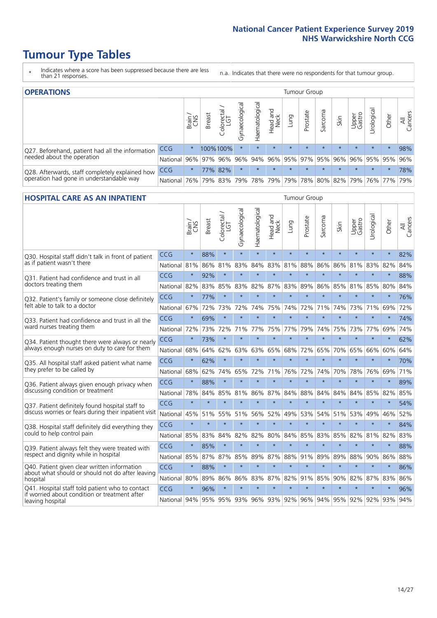- \* Indicates where a score has been suppressed because there are less than 21 responses.
- n.a. Indicates that there were no respondents for that tumour group.

| <b>OPERATIONS</b>                                |                                                                  |              |               |                   |                |                 |                  |             | Tumour Group |         |         |                             |           |           |                |
|--------------------------------------------------|------------------------------------------------------------------|--------------|---------------|-------------------|----------------|-----------------|------------------|-------------|--------------|---------|---------|-----------------------------|-----------|-----------|----------------|
|                                                  |                                                                  | Brain<br>CNS | <b>Breast</b> | Colorectal<br>LGT | Gynaecological | Haematological  | Head and<br>Neck | <b>Gunn</b> | Prostate     | Sarcoma | Skin    | Upper<br>Gastro             | Urologica | Other     | All<br>Cancers |
| Q27. Beforehand, patient had all the information | CCG                                                              | $\star$      |               | 100%100%          | $\star$        |                 | $\star$          | $\star$     | $\star$      | $\star$ | $\star$ | $\star$                     | $\star$   | $\star$   | 98%            |
| needed about the operation                       | National 96% 97% 96% 96% 94% 96% 95% 97% 95% 96% 96% 95% 95% 96% |              |               |                   |                |                 |                  |             |              |         |         |                             |           |           |                |
| Q28. Afterwards, staff completely explained how  | <b>CCG</b>                                                       | $\star$      |               | 77% 82%           | $\star$        | $\star$         | $\star$          | $\star$     | $\star$      | $\star$ | $\star$ | $\star$                     | $\star$   | $\star$   | 78%            |
| operation had gone in understandable way         | National I                                                       | 76%          |               | 79% 83%           |                | 79%   78%   79% |                  |             |              |         |         | 79%   78%   80%   82%   79% |           | 76%   77% | 79%            |

#### **HOSPITAL CARE AS AN INPATIENT** Tumour Group

|                                                                                                   |            | Brain   | Breast  | Colorectal /<br>LGT | Gynaecological | Haematological | Head and<br>Neck | Lung        | Prostate | Sarcoma | Skin    | Upper<br>Gastro | Urological | Other   | All<br>Cancers |
|---------------------------------------------------------------------------------------------------|------------|---------|---------|---------------------|----------------|----------------|------------------|-------------|----------|---------|---------|-----------------|------------|---------|----------------|
| Q30. Hospital staff didn't talk in front of patient                                               | CCG        | $\star$ | 88%     | $\star$             | $\star$        | $\star$        | $\star$          | $\star$     | $\star$  | $\star$ | $\star$ | $\star$         | $\star$    | $\star$ | 82%            |
| as if patient wasn't there                                                                        | National   | 81%     | 86%     | 81%                 | 83%            | 84%            | 83%              | 81%         | 88%      | 86%     | 86%     | 81%             | 83%        | 82%     | 84%            |
| Q31. Patient had confidence and trust in all                                                      | CCG        | $\star$ | 92%     | $\star$             | $\star$        | $\star$        | $\star$          | $\star$     | $\star$  | $\star$ | $\star$ | $\star$         | $\star$    | $\star$ | 88%            |
| doctors treating them                                                                             | National   | 82%     | 83%     | 85%                 | 83%            | 82%            |                  | 87% 83%     | 89%      | 86%     | 85%     | 81%             | 85%        | 80%     | 84%            |
| Q32. Patient's family or someone close definitely                                                 | CCG        | $\star$ | 77%     | $\star$             | $\star$        | $\star$        | $\star$          | $\star$     | $\star$  | $\star$ | $\star$ | $\star$         | $\star$    | $\star$ | 76%            |
| felt able to talk to a doctor                                                                     | National   | 67%     | 72%     | 73%                 | 72%            | 74%            | 75%              | 74%         | 72%      | 71%     | 74%     | 73%             | 71%        | 69%     | 72%            |
| Q33. Patient had confidence and trust in all the<br>ward nurses treating them                     | CCG        | $\star$ | 69%     | $\star$             | $\star$        | $\star$        | $\star$          | $\star$     | $\star$  | $\star$ | $\star$ | $\star$         | $\star$    | $\star$ | 74%            |
|                                                                                                   | National   | 72%     | 73%     | 72%                 | 71%            | 77%            | 75%              | 77%         | 79%      | 74%     | 75%     | 73%             | 77%        | 69%     | 74%            |
| Q34. Patient thought there were always or nearly<br>always enough nurses on duty to care for them | CCG        | $\star$ | 73%     | $\star$             | $\star$        | $\star$        | $\star$          | $\star$     | $\star$  | $\star$ | $\star$ | $\star$         | $\star$    | $\star$ | 62%            |
|                                                                                                   | National   | 68%     | 64%     | 62%                 | 63%            | 63%            | 65%              | 68%         | 72%      | 65%     | 70%     | 65%             | 66%        | 60%     | 64%            |
| Q35. All hospital staff asked patient what name<br>they prefer to be called by                    | CCG        | $\star$ | 62%     | $\star$             | $\star$        | $\star$        | $\star$          | $\star$     | $\star$  | $\star$ | $\star$ | $\star$         | $\star$    | $\star$ | 70%            |
|                                                                                                   | National   | 68%     | 62%     | 74%                 | 65%            | 72%            | 71%              | 76%         | 72%      | 74%     | 70%     | 78%             | 76%        | 69%     | 71%            |
| Q36. Patient always given enough privacy when                                                     | CCG        | $\star$ | 88%     | $\star$             | $\star$        | $\star$        | $\star$          | $\star$     | $\star$  | $\star$ | $\star$ | $\star$         | $\star$    | $\star$ | 89%            |
| discussing condition or treatment                                                                 | National   | 78%     | 84%     | 85%                 | 81%            | 86%            | 87%              | 84%         | 88%      | 84%     | 84%     | 84%             | 85%        | 82%     | 85%            |
| Q37. Patient definitely found hospital staff to                                                   | <b>CCG</b> | $\star$ | $\star$ | $\star$             | $\star$        | $\star$        | $\star$          | $\star$     | $\star$  | $\star$ | $\star$ | $\star$         | $\star$    | $\star$ | 54%            |
| discuss worries or fears during their inpatient visit                                             | National   | 45%     | 51%     | 55%                 | 51%            | 56%            | 52%              | 49%         | 53%      | 54%     | 51%     | 53%             | 49%        | 46%     | 52%            |
| Q38. Hospital staff definitely did everything they                                                | CCG        | $\star$ | $\star$ | $\star$             | $\star$        | $\star$        | $\star$          | $\star$     | $\star$  | $\star$ | $\star$ | $\star$         | $\star$    | $\star$ | 84%            |
| could to help control pain                                                                        | National   | 85%     | 83%     | 84%                 | 82%            | 82%            | 80%              | 84%         | 85%      | 83%     | 85%     | 82%             | 81%        | 82%     | 83%            |
| Q39. Patient always felt they were treated with                                                   | CCG        | $\star$ | 85%     | $\star$             | $\star$        | $\star$        | $\star$          | $\star$     | $\star$  | $\star$ | $\star$ | $\star$         | $\star$    | $\star$ | 88%            |
| respect and dignity while in hospital                                                             | National   | 85%     | 87%     | 87%                 | 85%            | 89%            |                  | 87% 88%     | 91%      | 89%     | 89%     | 88%             | 90%        | 86%     | 88%            |
| Q40. Patient given clear written information<br>about what should or should not do after leaving  | CCG        | $\star$ | 88%     | $\star$             | $\star$        | $\star$        | $\star$          | $\star$     | $\star$  | $\star$ | $\star$ | $\star$         | $\star$    | $\star$ | 86%            |
| hospital                                                                                          | National   | 80%     | 89%     | 86%                 | 86%            | 83%            |                  | 87% 82%     | 91%      | 85%     | 90%     | 82%             | 87%        | 83%     | 86%            |
| Q41. Hospital staff told patient who to contact<br>if worried about condition or treatment after  | CCG        | $\star$ | 96%     | $\star$             | $\star$        | $\star$        | $\star$          | $\star$     | $\star$  | $\star$ | $\star$ | $\star$         | $\star$    | $\star$ | 96%            |
| leaving hospital                                                                                  | National   | 94%     | 95%     | 95% 93%             |                |                |                  | 96% 93% 92% |          | 96% 94% |         | 95% 92%         | 92%        | 93%     | 94%            |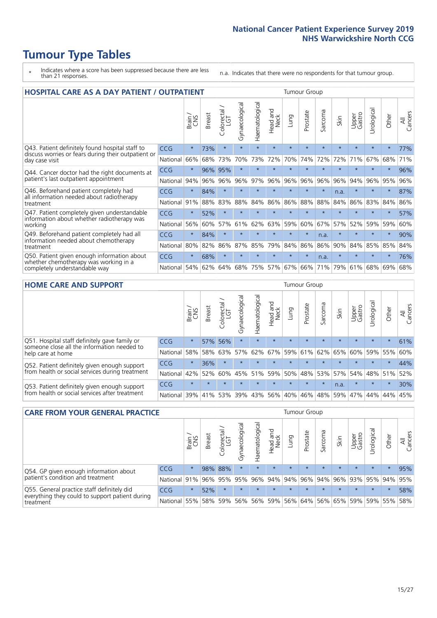# **Tumour Type Tables**

- \* Indicates where a score has been suppressed because there are less than 21 responses.
- n.a. Indicates that there were no respondents for that tumour group.

| <b>HOSPITAL CARE AS A DAY PATIENT / OUTPATIENT</b>                                                                    |            |         |               |                              |                |                |                         | <b>Tumour Group</b> |          |         |         |                 |            |         |                |  |
|-----------------------------------------------------------------------------------------------------------------------|------------|---------|---------------|------------------------------|----------------|----------------|-------------------------|---------------------|----------|---------|---------|-----------------|------------|---------|----------------|--|
|                                                                                                                       |            | Brain   | <b>Breast</b> | ╮<br>olorectal /<br>LGT<br>Ũ | Gynaecological | Haematological | ead and<br>Neck<br>Head | Lung                | Prostate | Sarcoma | Skin    | Upper<br>Gastro | Urological | Other   | All<br>Cancers |  |
| Q43. Patient definitely found hospital staff to                                                                       | <b>CCG</b> | $\star$ | 73%           | $\star$                      | $\star$        | $\star$        | $\star$                 | $\star$             | $\star$  | $\star$ | $\star$ | $\star$         | $\star$    | $\star$ | 77%            |  |
| discuss worries or fears during their outpatient or<br>day case visit                                                 | National   | 66%     | 68%           | 73%                          | 70%            | 73%            | 72%                     | 70%                 | 74%      | 72%     | 72%     | 71%             | 67%        | 68%     | 71%            |  |
| Q44. Cancer doctor had the right documents at<br>patient's last outpatient appointment                                | <b>CCG</b> | $\star$ |               | 96% 95%                      |                |                | $\star$                 | $\star$             | $\star$  | $\star$ |         |                 | $\star$    | $\ast$  | 96%            |  |
|                                                                                                                       | National   | 94%     | 96%           | 96%                          | 96%            | 97%            | 96%                     | 96%                 | 96%      | 96%     | 96%     | 94%             | 96%        | 95%     | 96%            |  |
| Q46. Beforehand patient completely had                                                                                | CCG        | $\star$ | 84%           | $\star$                      |                |                | $\star$                 | $\star$             | $\star$  | $\star$ | n.a.    | $\star$         | $\star$    | $\star$ | 87%            |  |
| all information needed about radiotherapy<br>treatment                                                                | National   | 91%     | 88%           | 83%                          | 88%            | 84%            | 86%                     | 86%                 | 88%      | 88%     | 84%     | 86%             | 83%        | 84%     | 86%            |  |
| Q47. Patient completely given understandable                                                                          | CCG        | $\star$ | 52%           | $\star$                      | $\star$        |                | $\star$                 | $\star$             | $\star$  | $\star$ | $\star$ | $\star$         | $\star$    | $\star$ | 57%            |  |
| information about whether radiotherapy was<br>working                                                                 | National   | 56%     | 60%           | 57%                          | 61%            | 62%            | 63%                     | 59%                 | 60%      | 67%     | 57%     | 52%             | 59%        | 59%     | 60%            |  |
| Q49. Beforehand patient completely had all                                                                            | CCG        | $\star$ | 84%           | $\star$                      | $\star$        | $\star$        | $\star$                 | $\star$             | $\star$  | n.a.    |         | $\star$         | $\star$    | $\ast$  | 90%            |  |
| information needed about chemotherapy<br>treatment                                                                    | National   | 80%     | 82%           | 86%                          | 87%            | 85%            | 79%                     | 84%                 | 86%      | 86%     | 90%     | 84%             | 85%        | 85%     | 84%            |  |
| Q50. Patient given enough information about<br>whether chemotherapy was working in a<br>completely understandable way | <b>CCG</b> | $\star$ | 68%           | $\star$                      |                |                | $\star$                 | $\star$             | $\star$  | n.a.    | 大       |                 |            | $\star$ | 76%            |  |
|                                                                                                                       | National   | 54%     | 62%           | 64%                          | 68%            | 75%            |                         | 57% 67%             | 66%      | 71%     | 79%     | 61%             | 68%        | 69%     | 68%            |  |

#### **HOME CARE AND SUPPORT** Tumour Group

|                                                                                                                   |            | Brain<br>CNS | <b>Breast</b> | Colorectal<br>LGT | ᅙ<br>Gynaecologic | Haematological | ad and<br>Neck<br>Head | <b>Lung</b> | Prostate | Sarcoma | Skin    | Upper<br>Gastro | rological   | Other   | All<br>Cancers |
|-------------------------------------------------------------------------------------------------------------------|------------|--------------|---------------|-------------------|-------------------|----------------|------------------------|-------------|----------|---------|---------|-----------------|-------------|---------|----------------|
| Q51. Hospital staff definitely gave family or<br>someone close all the information needed to<br>help care at home | <b>CCG</b> | $\star$      |               | 57% 56%           | $\star$           | $\star$        | $\star$                | $\star$     | $\star$  | $\star$ | $\star$ | $\star$         | $\star$     | $\star$ | 61%            |
|                                                                                                                   | National   | 58%          | 58%           | 63%               | 57%               | 62%            | 67%                    | 59%         | 61%      |         | 62% 65% | 60%             | 59% 55%     |         | 60%            |
| Q52. Patient definitely given enough support<br>from health or social services during treatment                   | <b>CCG</b> | $\star$      | 36%           | $\star$           | $\star$           |                | $\star$                | $\star$     | $\star$  |         | $\star$ | $\star$         | $\star$     | $\star$ | 44%            |
|                                                                                                                   | National   | 42%          | 52%           | 60%               |                   | 45% 51%        | 59%                    | 50%         | 48%      |         | 53% 57% |                 | 54% 48% 51% |         | 52%            |
| Q53. Patient definitely given enough support<br>from health or social services after treatment                    | <b>CCG</b> | $\star$      |               | $\star$           | $\star$           | $\star$        | $\star$                | $\star$     | $\star$  | $\star$ | n.a.    | $\star$         | $\star$     | $\star$ | 30%            |
|                                                                                                                   | National   | 39%          |               | 41% 53%           | 39%               | 43%            | 56%                    | 40%         | 46%      | 48%     | 59%     | 47%             | 44%         | 44%     | 45%            |

| <b>CARE FROM YOUR GENERAL PRACTICE</b>                                                                     |              |               |               |                   |                | Tumour Group   |                                     |         |          |         |         |                 |           |                     |                |
|------------------------------------------------------------------------------------------------------------|--------------|---------------|---------------|-------------------|----------------|----------------|-------------------------------------|---------|----------|---------|---------|-----------------|-----------|---------------------|----------------|
|                                                                                                            |              | Brain.<br>CNS | <b>Breast</b> | Colorectal<br>LGT | Gynaecological | Haematological | Head and<br>Neck                    | Lung    | Prostate | Sarcoma | Skin    | Upper<br>Gastro | Urologica | Other               | All<br>Cancers |
| Q54. GP given enough information about<br>patient's condition and treatment                                | <b>CCG</b>   | $\star$       |               | 98% 88%           | $\star$        | $\star$        | $\star$                             | $\star$ | $\star$  | $\star$ | $\star$ | $\star$         | $\star$   | $\star$             | 95%            |
|                                                                                                            | National 91% |               |               | 96% 95%           | 95%            |                | 96% 94% 94% 96% 94% 96% 93% 95% 94% |         |          |         |         |                 |           |                     | 95%            |
| Q55. General practice staff definitely did<br>everything they could to support patient during<br>treatment | <b>CCG</b>   | $\star$       | 52%           | $\star$           | $\star$        | $\star$        | $\star$                             | $\star$ | $\star$  | $\star$ | $\star$ | $\star$         | $\star$   | $\star$             | 58%            |
|                                                                                                            | National 55% |               |               | 58% 59%           | 56%            |                | 56% 59% 56% 64%                     |         |          |         |         |                 |           | 56% 65% 59% 59% 55% | 58%            |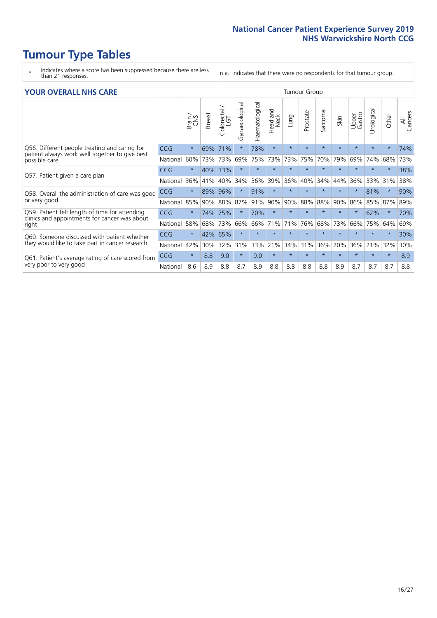- \* Indicates where a score has been suppressed because there are less than 21 responses.
- n.a. Indicates that there were no respondents for that tumour group.

#### **YOUR OVERALL NHS CARE** THE CONSTRUCTION OF THE THROUP GROUP TUMOUR GROUP

| UN V V LIVALL IVI 19 GAINL                                                                                       |            |         |               |                             |                |                |                         |         |          |                      |         |                 |                |          |                |
|------------------------------------------------------------------------------------------------------------------|------------|---------|---------------|-----------------------------|----------------|----------------|-------------------------|---------|----------|----------------------|---------|-----------------|----------------|----------|----------------|
|                                                                                                                  |            | Brain   | <b>Breast</b> | olorectal.<br>LGT<br>$\cup$ | Gynaecological | Haematological | aad and<br>Neck<br>Head | Lung    | Prostate | arcoma<br>$\sqrt{ }$ | Skin    | Upper<br>Gastro | लु<br>Urologia | Other    | All<br>Cancers |
| Q56. Different people treating and caring for<br>patient always work well together to give best<br>possible care | <b>CCG</b> | $\star$ | 69%           | 71%                         |                | 78%            | $\star$                 | $\star$ | $\star$  | $\star$              | $\star$ | $\star$         | $\star$        | $\ast$   | 74%            |
|                                                                                                                  | National   | 60%     | 73%           | 73%                         | 69%            | 75%            | 73%                     | 73%     | 75%      | 70%                  | 79%     | 69%             | 74%            | 68%      | 73%            |
| Q57. Patient given a care plan                                                                                   | <b>CCG</b> | $\star$ | 40%           | 33%                         |                |                | $\star$                 | $\star$ | $\star$  | $\star$              | $\star$ | $\star$         |                | $\star$  | 38%            |
|                                                                                                                  | National   | 36%     | 41%           | 40%                         | 34%            | 36%            | 39%                     | 36%     | 40%      | 34%                  | 44%     | 36%             | 33%            | 31%      | 38%            |
| Q58. Overall the administration of care was good                                                                 | <b>CCG</b> | $\star$ | 89%           | 96%                         |                | 91%            | $\ast$                  | $\star$ | $\star$  | $\star$              | $\star$ |                 | 81%            | $\star$  | 90%            |
| or very good                                                                                                     | National   | 85%     | 90%           | 88%                         | 87%            | 91%            | 90%                     | 90%     | 88%      | 88%                  | 90%     | 86%             | 85%            | 87%      | 89%            |
| Q59. Patient felt length of time for attending<br>clinics and appointments for cancer was about                  | <b>CCG</b> | $\star$ | 74%           | 75%                         |                | 70%            | $\ast$                  | $\star$ | $\star$  | $\star$              | $\star$ |                 | 62%            | $^\star$ | 70%            |
| right                                                                                                            | National   | 58%     | 68%           | 73%                         | 66%            | 66%            | 71%                     | 71%     | 76%      | 68%                  | 73%     | 66%             | 75%            | 64%      | 69%            |
| Q60. Someone discussed with patient whether                                                                      | <b>CCG</b> | $\star$ | 42%           | 65%                         |                |                |                         | $\star$ | $\star$  | $\star$              | $\star$ |                 |                | $\star$  | 30%            |
| they would like to take part in cancer research                                                                  | National   | 42%     | 30%           | 32%                         | 31%            | 33%            | 21%                     | 34%     | 31%      | 36%                  | 20%     | 36%             | 21%            | 32%      | 30%            |
| Q61. Patient's average rating of care scored from<br>very poor to very good                                      | <b>CCG</b> | $\star$ | 8.8           | 9.0                         | $\star$        | 9.0            | $\star$                 | $\star$ | $\star$  | $\star$              | $\star$ | $\star$         | $\star$        | $\ast$   | 8.9            |
|                                                                                                                  | National   | 8.6     | 8.9           | 8.8                         | 8.7            | 8.9            | 8.8                     | 8.8     | 8.8      | 8.8                  | 8.9     | 8.7             | 8.7            | 8.7      | 8.8            |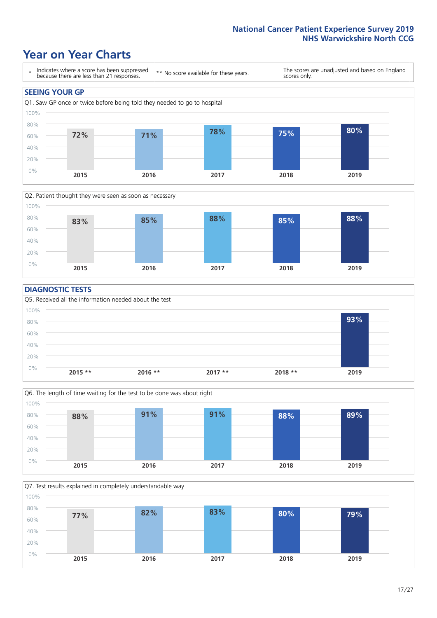### **Year on Year Charts**





#### **DIAGNOSTIC TESTS**





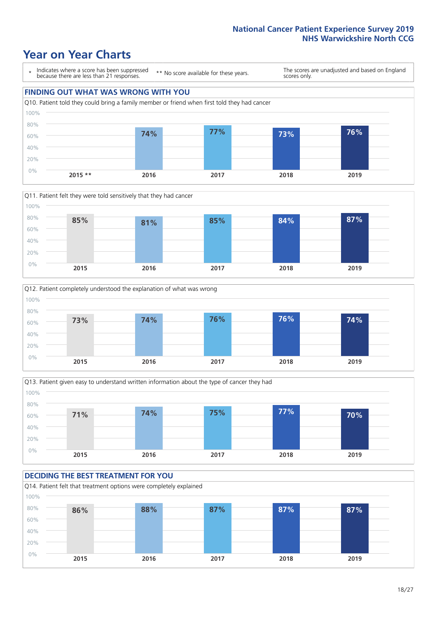## **Year on Year Charts**









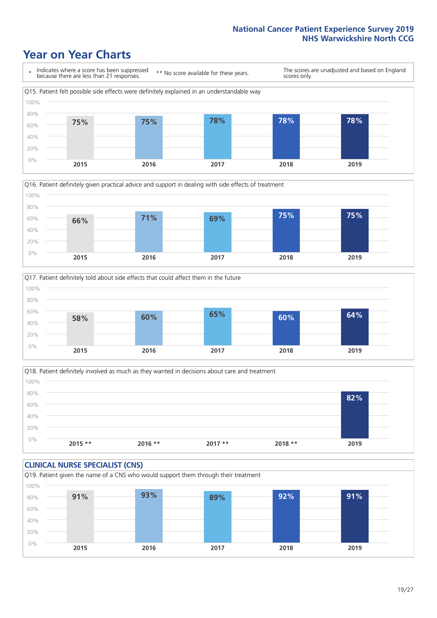### **Year on Year Charts**









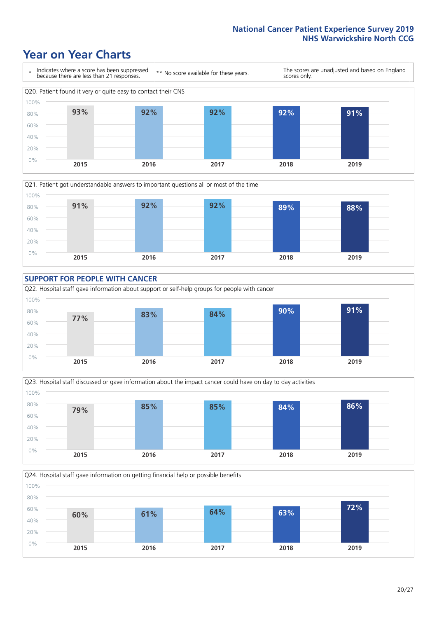### **Year on Year Charts**









Q24. Hospital staff gave information on getting financial help or possible benefits 100%

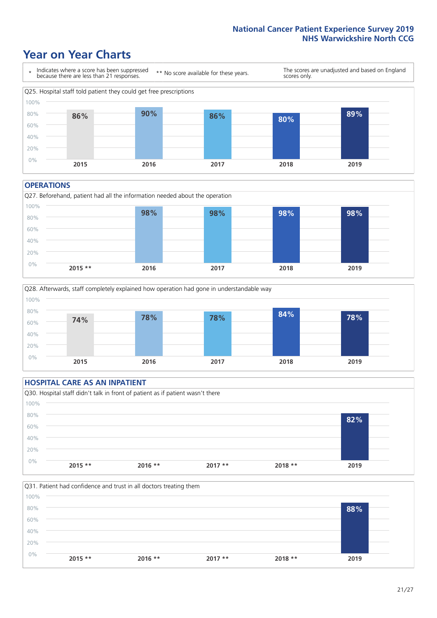### **Year on Year Charts**



#### **OPERATIONS**





#### **HOSPITAL CARE AS AN INPATIENT** Q30. Hospital staff didn't talk in front of patient as if patient wasn't there 0% 20% 40% 60% 80% 100% **2015 \*\* 2016 \*\* 2017 \*\* 2018 \*\* 2019 82%**

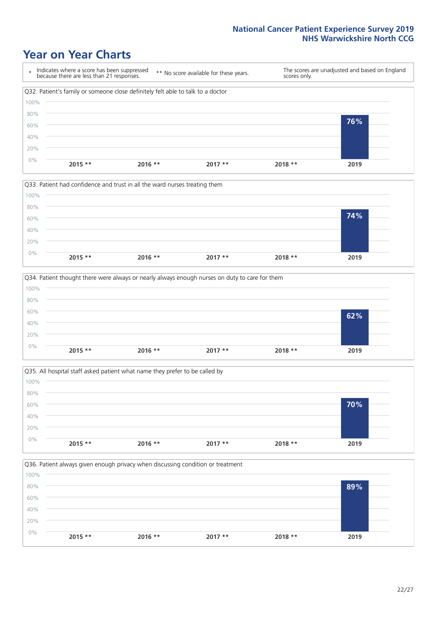### **Year on Year Charts**









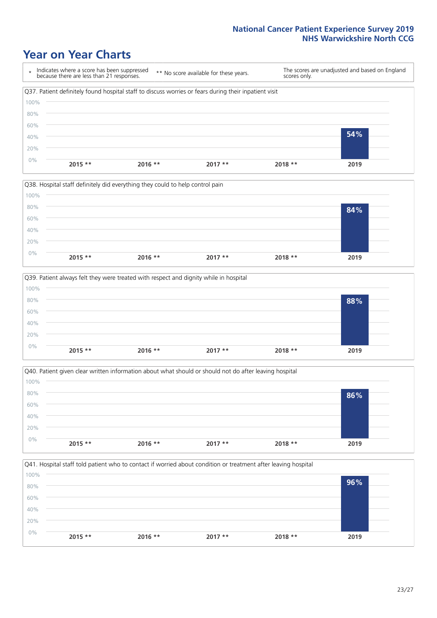### **Year on Year Charts**









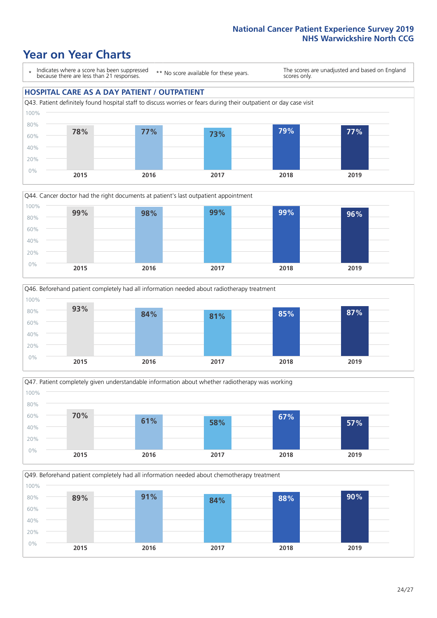### **Year on Year Charts**

\* Indicates where a score has been suppressed because there are less than 21 responses.

\*\* No score available for these years.

The scores are unadjusted and based on England scores only.

#### **HOSPITAL CARE AS A DAY PATIENT / OUTPATIENT**









Q49. Beforehand patient completely had all information needed about chemotherapy treatment 100%

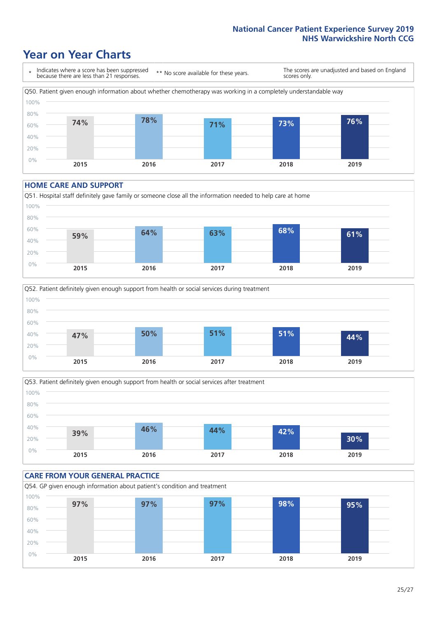### **Year on Year Charts**



#### **HOME CARE AND SUPPORT**







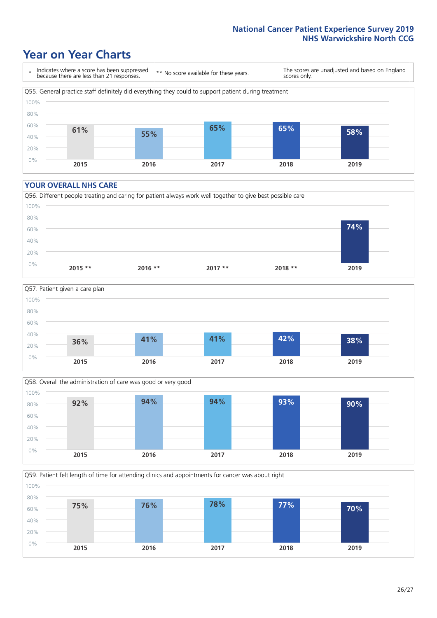### **Year on Year Charts**

\* Indicates where a score has been suppressed because there are less than 21 responses. \*\* No score available for these years. The scores are unadjusted and based on England scores only. Q55. General practice staff definitely did everything they could to support patient during treatment 0% 20% 40% 60% 80% 100% **2015 2016 2017 2018 2019 61% 55% 65% 65% 58%**

#### **YOUR OVERALL NHS CARE**







Q59. Patient felt length of time for attending clinics and appointments for cancer was about right 0% 20% 40% 60% 80% 100% **2015 2016 2017 2018 2019 75% 76% 78% 77% 70%**